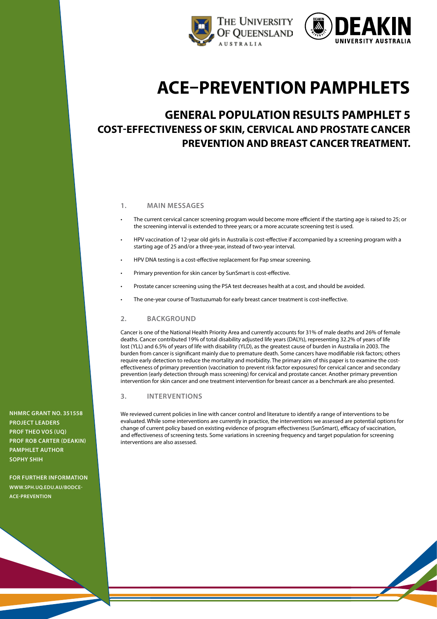



# **ACE–Prevention pamphlets**

# **General population results pamphlet 5 Cost-Effectiveness of Skin, Cervical and Prostate Cancer Prevention and Breast Cancer treatment.**

# **1. Main messages**

- The current cervical cancer screening program would become more efficient if the starting age is raised to 25; or the screening interval is extended to three years; or a more accurate screening test is used.
- HPV vaccination of 12-year old girls in Australia is cost-effective if accompanied by a screening program with a starting age of 25 and/or a three-year, instead of two-year interval.
- HPV DNA testing is a cost-effective replacement for Pap smear screening.
- Primary prevention for skin cancer by SunSmart is cost-effective.
- Prostate cancer screening using the PSA test decreases health at a cost, and should be avoided.
- The one-year course of Trastuzumab for early breast cancer treatment is cost-ineffective.

#### **2. Background**

Cancer is one of the National Health Priority Area and currently accounts for 31% of male deaths and 26% of female deaths. Cancer contributed 19% of total disability adjusted life years (DALYs), representing 32.2% of years of life lost (YLL) and 6.5% of years of life with disability (YLD), as the greatest cause of burden in Australia in 2003. The burden from cancer is significant mainly due to premature death. Some cancers have modifiable risk factors; others require early detection to reduce the mortality and morbidity. The primary aim of this paper is to examine the costeffectiveness of primary prevention (vaccination to prevent risk factor exposures) for cervical cancer and secondary prevention (early detection through mass screening) for cervical and prostate cancer. Another primary prevention intervention for skin cancer and one treatment intervention for breast cancer as a benchmark are also presented.

#### **3. Interventions**

We reviewed current policies in line with cancer control and literature to identify a range of interventions to be evaluated. While some interventions are currently in practice, the interventions we assessed are potential options for change of current policy based on existing evidence of program effectiveness (SunSmart), efficacy of vaccination, and effectiveness of screening tests. Some variations in screening frequency and target population for screening interventions are also assessed.

**NHMRC Grant No. 351558 project leaders Prof Theo Vos (UQ) Prof Rob Carter (Deakin) pamphlet author SOPHY SHIH**

**For further information [www.SPH.uq.edu.au/bodce](http://www.sph.uq.edu.au/bodce-ace-prevention)[ace-prevention](http://www.sph.uq.edu.au/bodce-ace-prevention)**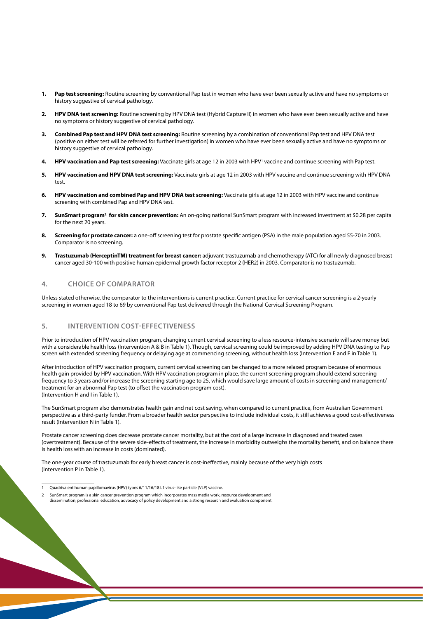- **1. Pap test screening:** Routine screening by conventional Pap test in women who have ever been sexually active and have no symptoms or history suggestive of cervical pathology.
- **2. HPV DNA test screening:** Routine screening by HPV DNA test (Hybrid Capture II) in women who have ever been sexually active and have no symptoms or history suggestive of cervical pathology.
- **3. Combined Pap test and HPV DNA test screening:** Routine screening by a combination of conventional Pap test and HPV DNA test (positive on either test will be referred for further investigation) in women who have ever been sexually active and have no symptoms or history suggestive of cervical pathology.
- 4. HPV vaccination and Pap test screening: Vaccinate girls at age 12 in 2003 with HPV<sup>1</sup> vaccine and continue screening with Pap test.
- **5. HPV vaccination and HPV DNA test screening:** Vaccinate girls at age 12 in 2003 with HPV vaccine and continue screening with HPV DNA test.
- **6. HPV vaccination and combined Pap and HPV DNA test screening:** Vaccinate girls at age 12 in 2003 with HPV vaccine and continue screening with combined Pap and HPV DNA test.
- **7. SunSmart program<sup>2</sup> for skin cancer prevention:** An on-going national SunSmart program with increased investment at \$0.28 per capita for the next 20 years.
- **8. Screening for prostate cancer:** a one-off screening test for prostate specific antigen (PSA) in the male population aged 55-70 in 2003. Comparator is no screening.
- **9. Trastuzumab (HerceptinTM) treatment for breast cancer:** adjuvant trastuzumab and chemotherapy (ATC) for all newly diagnosed breast cancer aged 30-100 with positive human epidermal growth factor receptor 2 (HER2) in 2003. Comparator is no trastuzumab.

### **4. Choice of comparator**

Unless stated otherwise, the comparator to the interventions is current practice. Current practice for cervical cancer screening is a 2-yearly screening in women aged 18 to 69 by conventional Pap test delivered through the National Cervical Screening Program.

#### **5. Intervention cost-effectiveness**

Prior to introduction of HPV vaccination program, changing current cervical screening to a less resource-intensive scenario will save money but with a considerable health loss (Intervention A & B in Table 1). Though, cervical screening could be improved by adding HPV DNA testing to Pap screen with extended screening frequency or delaying age at commencing screening, without health loss (Intervention E and F in Table 1).

After introduction of HPV vaccination program, current cervical screening can be changed to a more relaxed program because of enormous health gain provided by HPV vaccination. With HPV vaccination program in place, the current screening program should extend screening frequency to 3 years and/or increase the screening starting age to 25, which would save large amount of costs in screening and management/ treatment for an abnormal Pap test (to offset the vaccination program cost). (Intervention H and I in Table 1).

The SunSmart program also demonstrates health gain and net cost saving, when compared to current practice, from Australian Government perspective as a third-party funder. From a broader health sector perspective to include individual costs, it still achieves a good cost-effectiveness result (Intervention N in Table 1).

Prostate cancer screening does decrease prostate cancer mortality, but at the cost of a large increase in diagnosed and treated cases (overtreatment). Because of the severe side-effects of treatment, the increase in morbidity outweighs the mortality benefit, and on balance there is health loss with an increase in costs (dominated).

The one-year course of trastuzumab for early breast cancer is cost-ineffective, mainly because of the very high costs (Intervention P in Table 1).

<sup>1</sup> Quadrivalent human papillomavirus (HPV) types 6/11/16/18 L1 virus-like particle (VLP) vaccine.

SunSmart program is a skin cancer prevention program which incorporates mass media work, resource development and dissemination, professional education, advocacy of policy development and a strong research and evaluation component.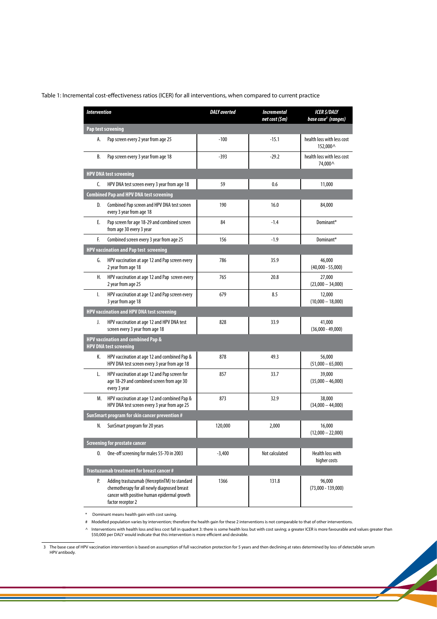| Table 1: Incremental cost-effectiveness ratios (ICER) for all interventions, when compared to current practice |  |  |  |
|----------------------------------------------------------------------------------------------------------------|--|--|--|
|----------------------------------------------------------------------------------------------------------------|--|--|--|

| <b>Intervention</b>                               |                                                                                                                                                                 | <b>DALY</b> averted | <b>Incremental</b><br>net cost (\$m) | <b>ICER S/DALY</b><br>base case <sup>3</sup> (ranges) |  |  |  |
|---------------------------------------------------|-----------------------------------------------------------------------------------------------------------------------------------------------------------------|---------------------|--------------------------------------|-------------------------------------------------------|--|--|--|
| Pap test screening                                |                                                                                                                                                                 |                     |                                      |                                                       |  |  |  |
| А.                                                | Pap screen every 2 year from age 25                                                                                                                             | $-100$              | $-15.1$                              | health loss with less cost<br>152,000 ^               |  |  |  |
| В.                                                | Pap screen every 3 year from age 18                                                                                                                             | $-393$              | $-29.2$                              | health loss with less cost<br>74,000 ^                |  |  |  |
| <b>HPV DNA test screening</b>                     |                                                                                                                                                                 |                     |                                      |                                                       |  |  |  |
| C.                                                | HPV DNA test screen every 3 year from age 18                                                                                                                    | 59                  | 0.6                                  | 11,000                                                |  |  |  |
|                                                   | <b>Combined Pap and HPV DNA test screening</b>                                                                                                                  |                     |                                      |                                                       |  |  |  |
| D.                                                | Combined Pap screen and HPV DNA test screen<br>every 3 year from age 18                                                                                         | 190                 | 16.0                                 | 84,000                                                |  |  |  |
| Е.                                                | Pap screen for age 18-29 and combined screen<br>from age 30 every 3 year                                                                                        | 84                  | $-1.4$                               | Dominant*                                             |  |  |  |
| F.                                                | Combined screen every 3 year from age 25                                                                                                                        | 156                 | $-1.9$                               | Dominant*                                             |  |  |  |
| HPV vaccination and Pap test screening            |                                                                                                                                                                 |                     |                                      |                                                       |  |  |  |
| G.                                                | HPV vaccination at age 12 and Pap screen every<br>2 year from age 18                                                                                            | 786                 | 35.9                                 | 46,000<br>$(40,000 - 55,000)$                         |  |  |  |
| Н.                                                | HPV vaccination at age 12 and Pap screen every<br>2 year from age 25                                                                                            | 765                 | 20.8                                 | 27,000<br>$(23,000 - 34,000)$                         |  |  |  |
| Ι.                                                | HPV vaccination at age 12 and Pap screen every<br>3 year from age 18                                                                                            | 679                 | 8.5                                  | 12,000<br>$(10,000 - 18,000)$                         |  |  |  |
| <b>HPV vaccination and HPV DNA test screening</b> |                                                                                                                                                                 |                     |                                      |                                                       |  |  |  |
| J.                                                | HPV vaccination at age 12 and HPV DNA test<br>screen every 3 year from age 18                                                                                   | 828                 | 33.9                                 | 41,000<br>$(36,000 - 49,000)$                         |  |  |  |
|                                                   | <b>HPV vaccination and combined Pap &amp;</b><br><b>HPV DNA test screening</b>                                                                                  |                     |                                      |                                                       |  |  |  |
| K.                                                | HPV vaccination at age 12 and combined Pap &<br>HPV DNA test screen every 3 year from age 18                                                                    | 878                 | 49.3                                 | 56,000<br>$(51,000 - 65,000)$                         |  |  |  |
| L.                                                | HPV vaccination at age 12 and Pap screen for<br>age 18-29 and combined screen from age 30<br>every 3 year                                                       | 857                 | 33.7                                 | 39,000<br>$(35,000 - 46,000)$                         |  |  |  |
| M.                                                | HPV vaccination at age 12 and combined Pap &<br>HPV DNA test screen every 3 year from age 25                                                                    | 873                 | 32.9                                 | 38,000<br>$(34,000 - 44,000)$                         |  |  |  |
|                                                   | SunSmart program for skin cancer prevention #                                                                                                                   |                     |                                      |                                                       |  |  |  |
| N.                                                | SunSmart program for 20 years                                                                                                                                   | 120,000             | 2,000                                | 16,000<br>$(12,000 - 22,000)$                         |  |  |  |
| <b>Screening for prostate cancer</b>              |                                                                                                                                                                 |                     |                                      |                                                       |  |  |  |
| 0.                                                | One-off screening for males 55-70 in 2003                                                                                                                       | $-3,400$            | Not calculated                       | Health loss with<br>higher costs                      |  |  |  |
|                                                   | Trastuzumab treatment for breast cancer #                                                                                                                       |                     |                                      |                                                       |  |  |  |
| P.                                                | Adding trastuzumab (HerceptinTM) to standard<br>chemotherapy for all newly diagnosed breast<br>cancer with positive human epidermal growth<br>factor receptor 2 | 1366                | 131.8                                | 96,000<br>$(73,000 - 139,000)$                        |  |  |  |

\* Dominant means health gain with cost saving.

# Modelled population varies by intervention; therefore the health gain for these 2 interventions is not comparable to that of other interventions.

∧ Interventions with health loss and less cost fall in quadrant 3: there is some health loss but with cost saving; a greater ICER is more favourable and values greater than<br>\$50,000 per DALY would indicate that this interv

3 The base case of HPV vaccination intervention is based on assumption of full vaccination protection for 5 years and then declining at rates determined by loss of detectable serum HPV antibody.